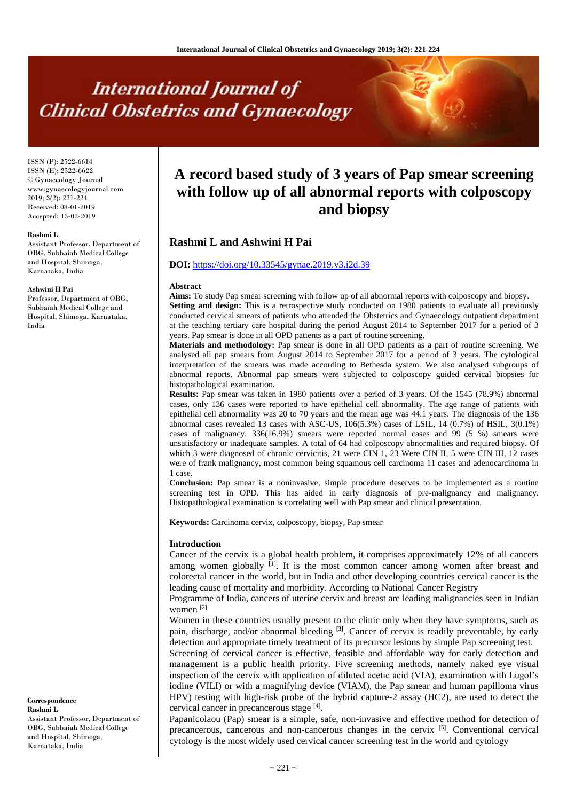# **International Journal of Clinical Obstetrics and Gynaecology**

ISSN (P): 2522-6614 ISSN (E): 2522-6622 © Gynaecology Journal www.gynaecologyjournal.com 2019; 3(2): 221-224 Received: 08-01-2019 Accepted: 15-02-2019

#### **Rashmi L**

Assistant Professor, Department of OBG, Subbaiah Medical College and Hospital, Shimoga, Karnataka, India

#### **Ashwini H Pai**

Professor, Department of OBG, Subbaiah Medical College and Hospital, Shimoga, Karnataka, India

#### **Correspondence Rashmi L**  Assistant Professor, Department of OBG, Subbaiah Medical College and Hospital, Shimoga, Karnataka, India

# **A record based study of 3 years of Pap smear screening with follow up of all abnormal reports with colposcopy and biopsy**

# **Rashmi L and Ashwini H Pai**

# **DOI:** <https://doi.org/10.33545/gynae.2019.v3.i2d.39>

#### **Abstract**

**Aims:** To study Pap smear screening with follow up of all abnormal reports with colposcopy and biopsy. **Setting and design:** This is a retrospective study conducted on 1980 patients to evaluate all previously conducted cervical smears of patients who attended the Obstetrics and Gynaecology outpatient department at the teaching tertiary care hospital during the period August 2014 to September 2017 for a period of 3 years. Pap smear is done in all OPD patients as a part of routine screening.

**Materials and methodology:** Pap smear is done in all OPD patients as a part of routine screening. We analysed all pap smears from August 2014 to September 2017 for a period of 3 years. The cytological interpretation of the smears was made according to Bethesda system. We also analysed subgroups of abnormal reports. Abnormal pap smears were subjected to colposcopy guided cervical biopsies for histopathological examination.

**Results:** Pap smear was taken in 1980 patients over a period of 3 years. Of the 1545 (78.9%) abnormal cases, only 136 cases were reported to have epithelial cell abnormality. The age range of patients with epithelial cell abnormality was 20 to 70 years and the mean age was 44.1 years. The diagnosis of the 136 abnormal cases revealed 13 cases with ASC-US, 106(5.3%) cases of LSIL, 14 (0.7%) of HSIL, 3(0.1%) cases of malignancy. 336(16.9%) smears were reported normal cases and 99 (5 %) smears were unsatisfactory or inadequate samples. A total of 64 had colposcopy abnormalities and required biopsy. Of which 3 were diagnosed of chronic cervicitis, 21 were CIN 1, 23 Were CIN II, 5 were CIN III, 12 cases were of frank malignancy, most common being squamous cell carcinoma 11 cases and adenocarcinoma in 1 case.

**Conclusion:** Pap smear is a noninvasive, simple procedure deserves to be implemented as a routine screening test in OPD. This has aided in early diagnosis of pre-malignancy and malignancy. Histopathological examination is correlating well with Pap smear and clinical presentation.

**Keywords:** Carcinoma cervix, colposcopy, biopsy, Pap smear

#### **Introduction**

Cancer of the cervix is a global health problem, it comprises approximately 12% of all cancers among women globally  $[1]$ . It is the most common cancer among women after breast and colorectal cancer in the world, but in India and other developing countries cervical cancer is the leading cause of mortality and morbidity. According to National Cancer Registry

Programme of India, cancers of uterine cervix and breast are leading malignancies seen in Indian women [2].

Women in these countries usually present to the clinic only when they have symptoms, such as pain, discharge, and/or abnormal bleeding **[3]** . Cancer of cervix is readily preventable, by early detection and appropriate timely treatment of its precursor lesions by simple Pap screening test.

Screening of cervical cancer is effective, feasible and affordable way for early detection and management is a public health priority. Five screening methods, namely naked eye visual inspection of the cervix with application of diluted acetic acid (VIA), examination with Lugol's iodine (VILI) or with a magnifying device (VIAM), the Pap smear and human papilloma virus HPV) testing with high-risk probe of the hybrid capture-2 assay (HC2), are used to detect the cervical cancer in precancerous stage [4].

Papanicolaou (Pap) smear is a simple, safe, non-invasive and effective method for detection of precancerous, cancerous and non-cancerous changes in the cervix [5]. Conventional cervical cytology is the most widely used cervical cancer screening test in the world and cytology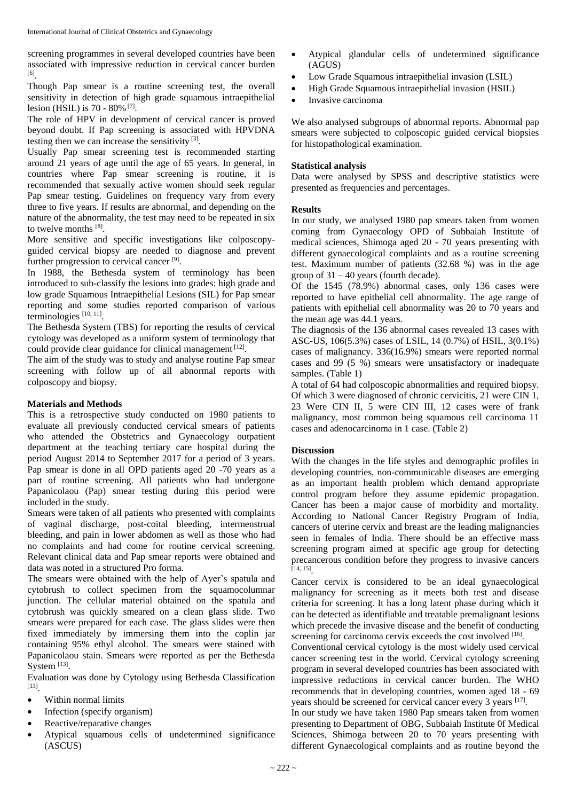screening programmes in several developed countries have been associated with impressive reduction in cervical cancer burden [6] .

Though Pap smear is a routine screening test, the overall sensitivity in detection of high grade squamous intraepithelial lesion (HSIL) is 70 - 80% [7] .

The role of HPV in development of cervical cancer is proved beyond doubt. If Pap screening is associated with HPVDNA testing then we can increase the sensitivity [3].

Usually Pap smear screening test is recommended starting around 21 years of age until the age of 65 years. In general, in countries where Pap smear screening is routine, it is recommended that sexually active women should seek regular Pap smear testing. Guidelines on frequency vary from every three to five years. If results are abnormal, and depending on the nature of the abnormality, the test may need to be repeated in six to twelve months [8].

More sensitive and specific investigations like colposcopyguided cervical biopsy are needed to diagnose and prevent further progression to cervical cancer [9].

In 1988, the Bethesda system of terminology has been introduced to sub-classify the lesions into grades: high grade and low grade Squamous Intraepithelial Lesions (SIL) for Pap smear reporting and some studies reported comparison of various terminologies [10, 11] .

The Bethesda System (TBS) for reporting the results of cervical cytology was developed as a uniform system of terminology that could provide clear guidance for clinical management [12].

The aim of the study was to study and analyse routine Pap smear screening with follow up of all abnormal reports with colposcopy and biopsy.

# **Materials and Methods**

This is a retrospective study conducted on 1980 patients to evaluate all previously conducted cervical smears of patients who attended the Obstetrics and Gynaecology outpatient department at the teaching tertiary care hospital during the period August 2014 to September 2017 for a period of 3 years. Pap smear is done in all OPD patients aged 20 -70 years as a part of routine screening. All patients who had undergone Papanicolaou (Pap) smear testing during this period were included in the study.

Smears were taken of all patients who presented with complaints of vaginal discharge, post-coital bleeding, intermenstrual bleeding, and pain in lower abdomen as well as those who had no complaints and had come for routine cervical screening. Relevant clinical data and Pap smear reports were obtained and data was noted in a structured Pro forma.

The smears were obtained with the help of Ayer's spatula and cytobrush to collect specimen from the squamocolumnar junction. The cellular material obtained on the spatula and cytobrush was quickly smeared on a clean glass slide. Two smears were prepared for each case. The glass slides were then fixed immediately by immersing them into the coplin jar containing 95% ethyl alcohol. The smears were stained with Papanicolaou stain. Smears were reported as per the Bethesda System  $^{[13]}$ .

Evaluation was done by Cytology using Bethesda Classification [13] .

- Within normal limits
- Infection (specify organism)
- Reactive/reparative changes
- Atypical squamous cells of undetermined significance (ASCUS)
- Atypical glandular cells of undetermined significance (AGUS)
- Low Grade Squamous intraepithelial invasion (LSIL)
- High Grade Squamous intraepithelial invasion (HSIL)
- Invasive carcinoma

We also analysed subgroups of abnormal reports. Abnormal pap smears were subjected to colposcopic guided cervical biopsies for histopathological examination.

# **Statistical analysis**

Data were analysed by SPSS and descriptive statistics were presented as frequencies and percentages.

# **Results**

In our study, we analysed 1980 pap smears taken from women coming from Gynaecology OPD of Subbaiah Institute of medical sciences, Shimoga aged 20 - 70 years presenting with different gynaecological complaints and as a routine screening test. Maximum number of patients (32.68 %) was in the age group of  $31 - 40$  years (fourth decade).

Of the 1545 (78.9%) abnormal cases, only 136 cases were reported to have epithelial cell abnormality. The age range of patients with epithelial cell abnormality was 20 to 70 years and the mean age was 44.1 years.

The diagnosis of the 136 abnormal cases revealed 13 cases with ASC-US, 106(5.3%) cases of LSIL, 14 (0.7%) of HSIL, 3(0.1%) cases of malignancy. 336(16.9%) smears were reported normal cases and 99 (5 %) smears were unsatisfactory or inadequate samples. (Table 1)

A total of 64 had colposcopic abnormalities and required biopsy. Of which 3 were diagnosed of chronic cervicitis, 21 were CIN 1, 23 Were CIN II, 5 were CIN III, 12 cases were of frank malignancy, most common being squamous cell carcinoma 11 cases and adenocarcinoma in 1 case. (Table 2)

### **Discussion**

With the changes in the life styles and demographic profiles in developing countries, non-communicable diseases are emerging as an important health problem which demand appropriate control program before they assume epidemic propagation. Cancer has been a major cause of morbidity and mortality. According to National Cancer Registry Program of India, cancers of uterine cervix and breast are the leading malignancies seen in females of India. There should be an effective mass screening program aimed at specific age group for detecting precancerous condition before they progress to invasive cancers [14, 15] .

Cancer cervix is considered to be an ideal gynaecological malignancy for screening as it meets both test and disease criteria for screening. It has a long latent phase during which it can be detected as identifiable and treatable premalignant lesions which precede the invasive disease and the benefit of conducting screening for carcinoma cervix exceeds the cost involved [16].

Conventional cervical cytology is the most widely used cervical cancer screening test in the world. Cervical cytology screening program in several developed countries has been associated with impressive reductions in cervical cancer burden. The WHO recommends that in developing countries, women aged 18 - 69 years should be screened for cervical cancer every 3 years [17].

In our study we have taken 1980 Pap smears taken from women presenting to Department of OBG, Subbaiah Institute 0f Medical Sciences, Shimoga between 20 to 70 years presenting with different Gynaecological complaints and as routine beyond the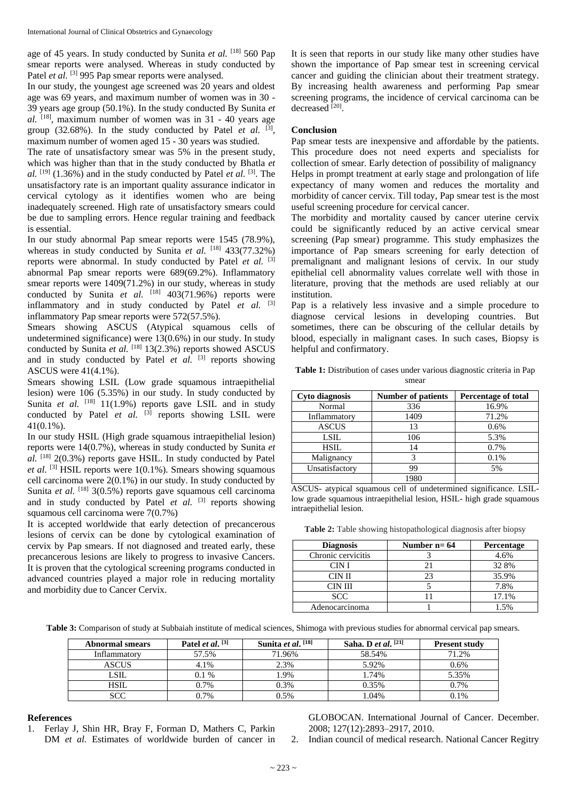age of 45 years. In study conducted by Sunita *et al.* [18] 560 Pap smear reports were analysed. Whereas in study conducted by Patel et al. <sup>[3]</sup> 995 Pap smear reports were analysed.

In our study, the youngest age screened was 20 years and oldest age was 69 years, and maximum number of women was in 30 - 39 years age group (50.1%). In the study conducted By Sunita *et al.* [18] , maximum number of women was in 31 - 40 years age group  $(32.68\%)$ . In the study conducted by Patel *et al.* <sup>[3]</sup>, maximum number of women aged 15 - 30 years was studied.

The rate of unsatisfactory smear was 5% in the present study, which was higher than that in the study conducted by Bhatla *et*  al. <sup>[19]</sup> (1.36%) and in the study conducted by Patel *et al.* <sup>[3]</sup>. The unsatisfactory rate is an important quality assurance indicator in cervical cytology as it identifies women who are being inadequately screened. High rate of unsatisfactory smears could be due to sampling errors. Hence regular training and feedback is essential.

In our study abnormal Pap smear reports were 1545 (78.9%), whereas in study conducted by Sunita et al. <sup>[18]</sup> 433(77.32%) reports were abnormal. In study conducted by Patel *et al.* [3] abnormal Pap smear reports were 689(69.2%). Inflammatory smear reports were 1409(71.2%) in our study, whereas in study conducted by Sunita *et al.*  $^{[18]}$  403(71.96%) reports were inflammatory and in study conducted by Patel *et al.* [3] inflammatory Pap smear reports were 572(57.5%).

Smears showing ASCUS (Atypical squamous cells of undetermined significance) were 13(0.6%) in our study. In study conducted by Sunita et al. <sup>[18]</sup> 13(2.3%) reports showed ASCUS and in study conducted by Patel *et al.* <sup>[3]</sup> reports showing ASCUS were 41(4.1%).

Smears showing LSIL (Low grade squamous intraepithelial lesion) were 106 (5.35%) in our study. In study conducted by Sunita *et al.* <sup>[18]</sup> 11(1.9%) reports gave LSIL and in study conducted by Patel *et al.* <sup>[3]</sup> reports showing LSIL were 41(0.1%).

In our study HSIL (High grade squamous intraepithelial lesion) reports were 14(0.7%), whereas in study conducted by Sunita *et al.* [18] 2(0.3%) reports gave HSIL. In study conducted by Patel et al.<sup>[3]</sup> HSIL reports were 1(0.1%). Smears showing squamous cell carcinoma were 2(0.1%) in our study. In study conducted by Sunita *et al.* <sup>[18]</sup> 3(0.5%) reports gave squamous cell carcinoma and in study conducted by Patel *et al.* <sup>[3]</sup> reports showing squamous cell carcinoma were 7(0.7%)

It is accepted worldwide that early detection of precancerous lesions of cervix can be done by cytological examination of cervix by Pap smears. If not diagnosed and treated early, these precancerous lesions are likely to progress to invasive Cancers. It is proven that the cytological screening programs conducted in advanced countries played a major role in reducing mortality and morbidity due to Cancer Cervix.

It is seen that reports in our study like many other studies have shown the importance of Pap smear test in screening cervical cancer and guiding the clinician about their treatment strategy. By increasing health awareness and performing Pap smear screening programs, the incidence of cervical carcinoma can be decreased [20].

# **Conclusion**

Pap smear tests are inexpensive and affordable by the patients. This procedure does not need experts and specialists for collection of smear. Early detection of possibility of malignancy Helps in prompt treatment at early stage and prolongation of life expectancy of many women and reduces the mortality and morbidity of cancer cervix. Till today, Pap smear test is the most useful screening procedure for cervical cancer.

The morbidity and mortality caused by cancer uterine cervix could be significantly reduced by an active cervical smear screening (Pap smear) programme. This study emphasizes the importance of Pap smears screening for early detection of premalignant and malignant lesions of cervix. In our study epithelial cell abnormality values correlate well with those in literature, proving that the methods are used reliably at our institution.

Pap is a relatively less invasive and a simple procedure to diagnose cervical lesions in developing countries. But sometimes, there can be obscuring of the cellular details by blood, especially in malignant cases. In such cases, Biopsy is helpful and confirmatory.

**Table 1:** Distribution of cases under various diagnostic criteria in Pap smear

| <b>Cyto diagnosis</b> | <b>Number of patients</b> | Percentage of total |
|-----------------------|---------------------------|---------------------|
| Normal                | 336                       | 16.9%               |
| Inflammatory          | 1409                      | 71.2%               |
| <b>ASCUS</b>          | 13                        | 0.6%                |
| LSIL                  | 106                       | 5.3%                |
| <b>HSIL</b>           | 14                        | 0.7%                |
| Malignancy            |                           | 0.1%                |
| Unsatisfactory        | 99                        | 5%                  |
|                       | 1980                      |                     |

ASCUS- atypical squamous cell of undetermined significance. LSILlow grade squamous intraepithelial lesion, HSIL- high grade squamous intraepithelial lesion.

**Table 2:** Table showing histopathological diagnosis after biopsy

| <b>Diagnosis</b>   | Number $n=64$ | <b>Percentage</b> |
|--------------------|---------------|-------------------|
| Chronic cervicitis |               | 4.6%              |
| CIN I              |               | 32 8%             |
| CIN II             | 23            | 35.9%             |
| CIN III            |               | 7.8%              |
| <b>SCC</b>         |               | 17.1%             |
| Adenocarcinoma     |               | 1.5%              |

**Table 3:** Comparison of study at Subbaiah institute of medical sciences, Shimoga with previous studies for abnormal cervical pap smears.

| <b>Abnormal smears</b> | Patel <i>et al.</i> $^{[3]}$ | Sunita et al. [18] | Saha. D <i>et al.</i> $[21]$ | <b>Present study</b> |
|------------------------|------------------------------|--------------------|------------------------------|----------------------|
| Inflammatory           | 57.5%                        | 71.96%             | 58.54%                       | 71.2%                |
| <b>ASCUS</b>           | 4.1%                         | 2.3%               | 5.92%                        | $0.6\%$              |
| <b>LSIL</b>            | $0.1\%$                      | .9%                | 1.74%                        | 5.35%                |
| <b>HSIL</b>            | 0.7%                         | 0.3%               | 0.35%                        | 0.7%                 |
| <b>SCC</b>             | 0.7%                         | 0.5%               | 1.04%                        | 0.1%                 |

#### **References**

1. Ferlay J, Shin HR, Bray F, Forman D, Mathers C, Parkin DM *et al.* Estimates of worldwide burden of cancer in GLOBOCAN. International Journal of Cancer. December. 2008; 127(12):2893–2917, 2010.

2. Indian council of medical research. National Cancer Regitry